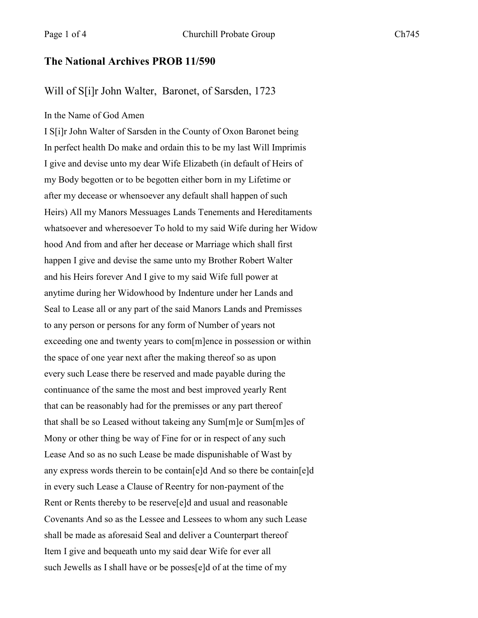## **The National Archives PROB 11/590**

## Will of S[i]r John Walter, Baronet, of Sarsden, 1723

## In the Name of God Amen

I S[i]r John Walter of Sarsden in the County of Oxon Baronet being In perfect health Do make and ordain this to be my last Will Imprimis I give and devise unto my dear Wife Elizabeth (in default of Heirs of my Body begotten or to be begotten either born in my Lifetime or after my decease or whensoever any default shall happen of such Heirs) All my Manors Messuages Lands Tenements and Hereditaments whatsoever and wheresoever To hold to my said Wife during her Widow hood And from and after her decease or Marriage which shall first happen I give and devise the same unto my Brother Robert Walter and his Heirs forever And I give to my said Wife full power at anytime during her Widowhood by Indenture under her Lands and Seal to Lease all or any part of the said Manors Lands and Premisses to any person or persons for any form of Number of years not exceeding one and twenty years to com[m]ence in possession or within the space of one year next after the making thereof so as upon every such Lease there be reserved and made payable during the continuance of the same the most and best improved yearly Rent that can be reasonably had for the premisses or any part thereof that shall be so Leased without takeing any Sum[m]e or Sum[m]es of Mony or other thing be way of Fine for or in respect of any such Lease And so as no such Lease be made dispunishable of Wast by any express words therein to be contain[e]d And so there be contain[e]d in every such Lease a Clause of Reentry for non-payment of the Rent or Rents thereby to be reserve[e]d and usual and reasonable Covenants And so as the Lessee and Lessees to whom any such Lease shall be made as aforesaid Seal and deliver a Counterpart thereof Item I give and bequeath unto my said dear Wife for ever all such Jewells as I shall have or be posses[e]d of at the time of my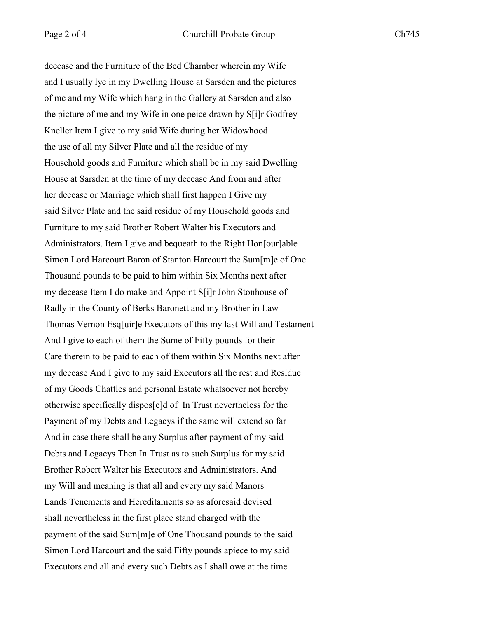decease and the Furniture of the Bed Chamber wherein my Wife and I usually lye in my Dwelling House at Sarsden and the pictures of me and my Wife which hang in the Gallery at Sarsden and also the picture of me and my Wife in one peice drawn by S[i]r Godfrey Kneller Item I give to my said Wife during her Widowhood the use of all my Silver Plate and all the residue of my Household goods and Furniture which shall be in my said Dwelling House at Sarsden at the time of my decease And from and after her decease or Marriage which shall first happen I Give my said Silver Plate and the said residue of my Household goods and Furniture to my said Brother Robert Walter his Executors and Administrators. Item I give and bequeath to the Right Hon[our]able Simon Lord Harcourt Baron of Stanton Harcourt the Sum[m]e of One Thousand pounds to be paid to him within Six Months next after my decease Item I do make and Appoint S[i]r John Stonhouse of Radly in the County of Berks Baronett and my Brother in Law Thomas Vernon Esq[uir]e Executors of this my last Will and Testament And I give to each of them the Sume of Fifty pounds for their Care therein to be paid to each of them within Six Months next after my decease And I give to my said Executors all the rest and Residue of my Goods Chattles and personal Estate whatsoever not hereby otherwise specifically dispos[e]d of In Trust nevertheless for the Payment of my Debts and Legacys if the same will extend so far And in case there shall be any Surplus after payment of my said Debts and Legacys Then In Trust as to such Surplus for my said Brother Robert Walter his Executors and Administrators. And my Will and meaning is that all and every my said Manors Lands Tenements and Hereditaments so as aforesaid devised shall nevertheless in the first place stand charged with the payment of the said Sum[m]e of One Thousand pounds to the said Simon Lord Harcourt and the said Fifty pounds apiece to my said Executors and all and every such Debts as I shall owe at the time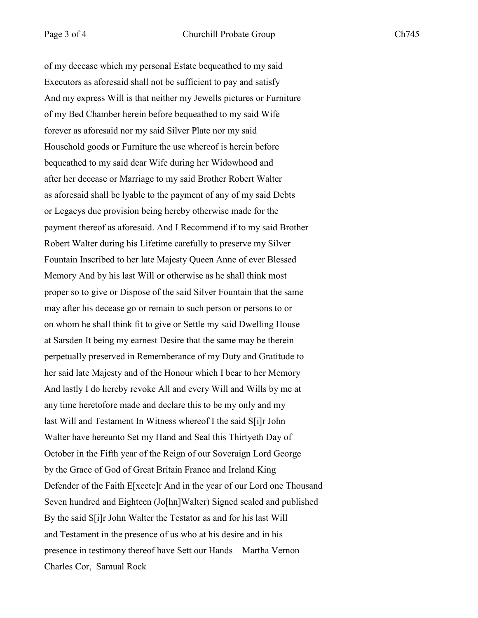of my decease which my personal Estate bequeathed to my said Executors as aforesaid shall not be sufficient to pay and satisfy And my express Will is that neither my Jewells pictures or Furniture of my Bed Chamber herein before bequeathed to my said Wife forever as aforesaid nor my said Silver Plate nor my said Household goods or Furniture the use whereof is herein before bequeathed to my said dear Wife during her Widowhood and after her decease or Marriage to my said Brother Robert Walter as aforesaid shall be lyable to the payment of any of my said Debts or Legacys due provision being hereby otherwise made for the payment thereof as aforesaid. And I Recommend if to my said Brother Robert Walter during his Lifetime carefully to preserve my Silver Fountain Inscribed to her late Majesty Queen Anne of ever Blessed Memory And by his last Will or otherwise as he shall think most proper so to give or Dispose of the said Silver Fountain that the same may after his decease go or remain to such person or persons to or on whom he shall think fit to give or Settle my said Dwelling House at Sarsden It being my earnest Desire that the same may be therein perpetually preserved in Rememberance of my Duty and Gratitude to her said late Majesty and of the Honour which I bear to her Memory And lastly I do hereby revoke All and every Will and Wills by me at any time heretofore made and declare this to be my only and my last Will and Testament In Witness whereof I the said S[i]r John Walter have hereunto Set my Hand and Seal this Thirtyeth Day of October in the Fifth year of the Reign of our Soveraign Lord George by the Grace of God of Great Britain France and Ireland King Defender of the Faith E[xcete]r And in the year of our Lord one Thousand Seven hundred and Eighteen (Jo[hn]Walter) Signed sealed and published By the said S[i]r John Walter the Testator as and for his last Will and Testament in the presence of us who at his desire and in his presence in testimony thereof have Sett our Hands – Martha Vernon Charles Cor, Samual Rock